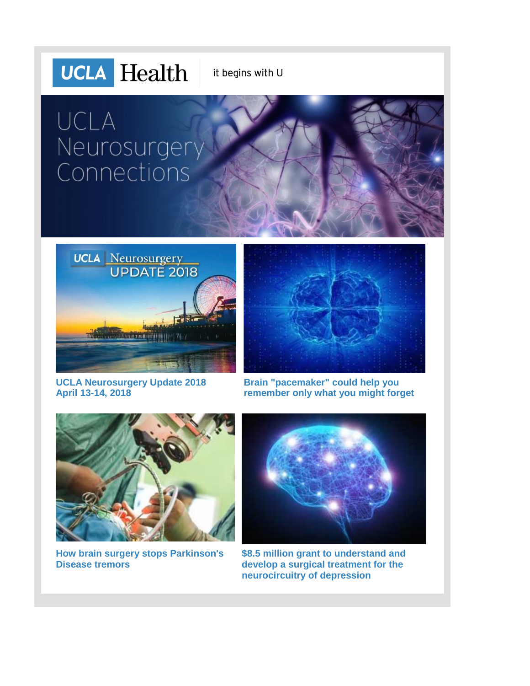## **UCLA** Health it begins with U

# UCLA Neurosurgery Connections



**[UCLA Neurosurgery Update 2018](http://r20.rs6.net/tn.jsp?f=001oVw_lU6_4BZE117noxe80BltNaJywJspitIG3RtpHPsU01vqCBDVCepojkzlKOqneJJK5KZqBlI60ToyaXBCqqu34uFgrXZfXEIXBIbVBB8VcjLb_xNn2Uv-g8VvhTs1SZiQgIndlT4JIXEtgRBQo2EXcecr1zUwHFa-3936fXoCeboq90ygnYwgWoydkCe8v6G7iKKbQvHWTCP6y2gZD-68OChMdKOpWC2btC0gd4rRJWvYzaOL3g==&c=fL8iGqwf2NSLtcX_cDsIv_oP592ZBjz7g8z4CkbX8nOZki_5dsuxAg==&ch=rYxF44NPqrDZxtJLhcIiCDwSlltVm8l7qOfxDPrbm5epp3DkcMeK0g==) [April 13-14, 2018](http://r20.rs6.net/tn.jsp?f=001oVw_lU6_4BZE117noxe80BltNaJywJspitIG3RtpHPsU01vqCBDVCepojkzlKOqneJJK5KZqBlI60ToyaXBCqqu34uFgrXZfXEIXBIbVBB8VcjLb_xNn2Uv-g8VvhTs1SZiQgIndlT4JIXEtgRBQo2EXcecr1zUwHFa-3936fXoCeboq90ygnYwgWoydkCe8v6G7iKKbQvHWTCP6y2gZD-68OChMdKOpWC2btC0gd4rRJWvYzaOL3g==&c=fL8iGqwf2NSLtcX_cDsIv_oP592ZBjz7g8z4CkbX8nOZki_5dsuxAg==&ch=rYxF44NPqrDZxtJLhcIiCDwSlltVm8l7qOfxDPrbm5epp3DkcMeK0g==)**



**[Brain "pacemaker" could help you](http://r20.rs6.net/tn.jsp?f=001oVw_lU6_4BZE117noxe80BltNaJywJspitIG3RtpHPsU01vqCBDVCepojkzlKOqn1ZAnfuQClzprLfOHewvuQuFPR3iqK0E9m37TSvznaYssw5ILm0uJoxoSOVKEz29pX9nl72HR-1WcgxzCyo626x_5CxZsf2YQKDjiTF0cDMrg9AYWvytRThTFGBRzkqB3dO1sMbh6vD_NYWr9WfVZD7xvzNZkpChdV5Vhpg0_16Ml7ckTtkybCZn8ZSnz66YcP9uiii2S4dFLRandSvH25qNOBE7HAWDF3JMfASAoZQofk-2J_Q9vHA==&c=fL8iGqwf2NSLtcX_cDsIv_oP592ZBjz7g8z4CkbX8nOZki_5dsuxAg==&ch=rYxF44NPqrDZxtJLhcIiCDwSlltVm8l7qOfxDPrbm5epp3DkcMeK0g==)  [remember only what you might forget](http://r20.rs6.net/tn.jsp?f=001oVw_lU6_4BZE117noxe80BltNaJywJspitIG3RtpHPsU01vqCBDVCepojkzlKOqn1ZAnfuQClzprLfOHewvuQuFPR3iqK0E9m37TSvznaYssw5ILm0uJoxoSOVKEz29pX9nl72HR-1WcgxzCyo626x_5CxZsf2YQKDjiTF0cDMrg9AYWvytRThTFGBRzkqB3dO1sMbh6vD_NYWr9WfVZD7xvzNZkpChdV5Vhpg0_16Ml7ckTtkybCZn8ZSnz66YcP9uiii2S4dFLRandSvH25qNOBE7HAWDF3JMfASAoZQofk-2J_Q9vHA==&c=fL8iGqwf2NSLtcX_cDsIv_oP592ZBjz7g8z4CkbX8nOZki_5dsuxAg==&ch=rYxF44NPqrDZxtJLhcIiCDwSlltVm8l7qOfxDPrbm5epp3DkcMeK0g==)**



**[How brain surgery stops Parkinson's](http://r20.rs6.net/tn.jsp?f=001oVw_lU6_4BZE117noxe80BltNaJywJspitIG3RtpHPsU01vqCBDVCepojkzlKOqnGV804vUvRhBmEg1cZbkdKk-ZOqHep8aLTKdV6OxY2au56JSCvUxCWtNKfftpx-1E6qpgn0T98SBguFnZlW8iGMYElfQ_qZccZ7Z1OkAwPJh4OvArzIIADj6RCRVjmK3haGxpR05MBxxlL5KUCxV9NqIRy0t6drRvDExv1Z7weCmlz00mPQ0Q2NVSD5gxlM5M6uHnWNKxtpo=&c=fL8iGqwf2NSLtcX_cDsIv_oP592ZBjz7g8z4CkbX8nOZki_5dsuxAg==&ch=rYxF44NPqrDZxtJLhcIiCDwSlltVm8l7qOfxDPrbm5epp3DkcMeK0g==)  [Disease tremors](http://r20.rs6.net/tn.jsp?f=001oVw_lU6_4BZE117noxe80BltNaJywJspitIG3RtpHPsU01vqCBDVCepojkzlKOqnGV804vUvRhBmEg1cZbkdKk-ZOqHep8aLTKdV6OxY2au56JSCvUxCWtNKfftpx-1E6qpgn0T98SBguFnZlW8iGMYElfQ_qZccZ7Z1OkAwPJh4OvArzIIADj6RCRVjmK3haGxpR05MBxxlL5KUCxV9NqIRy0t6drRvDExv1Z7weCmlz00mPQ0Q2NVSD5gxlM5M6uHnWNKxtpo=&c=fL8iGqwf2NSLtcX_cDsIv_oP592ZBjz7g8z4CkbX8nOZki_5dsuxAg==&ch=rYxF44NPqrDZxtJLhcIiCDwSlltVm8l7qOfxDPrbm5epp3DkcMeK0g==)**



**[\\$8.5 million grant to understand and](http://r20.rs6.net/tn.jsp?f=001oVw_lU6_4BZE117noxe80BltNaJywJspitIG3RtpHPsU01vqCBDVCepojkzlKOqnt8esHoDGSGfFhC8wH6-BPyCNd5giPTp5dqNeTjsZoV27zociBUAEh44mNDlcWNQrIuqTMIMkZ7Of6QSpgRAQ2U_8KfhuqPuMt3Vd7hus6igniB500iWl_wkYCsT4HpSOXqPUBj4zqJ8=&c=fL8iGqwf2NSLtcX_cDsIv_oP592ZBjz7g8z4CkbX8nOZki_5dsuxAg==&ch=rYxF44NPqrDZxtJLhcIiCDwSlltVm8l7qOfxDPrbm5epp3DkcMeK0g==)  [develop a surgical treatment for the](http://r20.rs6.net/tn.jsp?f=001oVw_lU6_4BZE117noxe80BltNaJywJspitIG3RtpHPsU01vqCBDVCepojkzlKOqnt8esHoDGSGfFhC8wH6-BPyCNd5giPTp5dqNeTjsZoV27zociBUAEh44mNDlcWNQrIuqTMIMkZ7Of6QSpgRAQ2U_8KfhuqPuMt3Vd7hus6igniB500iWl_wkYCsT4HpSOXqPUBj4zqJ8=&c=fL8iGqwf2NSLtcX_cDsIv_oP592ZBjz7g8z4CkbX8nOZki_5dsuxAg==&ch=rYxF44NPqrDZxtJLhcIiCDwSlltVm8l7qOfxDPrbm5epp3DkcMeK0g==)  [neurocircuitry of depression](http://r20.rs6.net/tn.jsp?f=001oVw_lU6_4BZE117noxe80BltNaJywJspitIG3RtpHPsU01vqCBDVCepojkzlKOqnt8esHoDGSGfFhC8wH6-BPyCNd5giPTp5dqNeTjsZoV27zociBUAEh44mNDlcWNQrIuqTMIMkZ7Of6QSpgRAQ2U_8KfhuqPuMt3Vd7hus6igniB500iWl_wkYCsT4HpSOXqPUBj4zqJ8=&c=fL8iGqwf2NSLtcX_cDsIv_oP592ZBjz7g8z4CkbX8nOZki_5dsuxAg==&ch=rYxF44NPqrDZxtJLhcIiCDwSlltVm8l7qOfxDPrbm5epp3DkcMeK0g==)**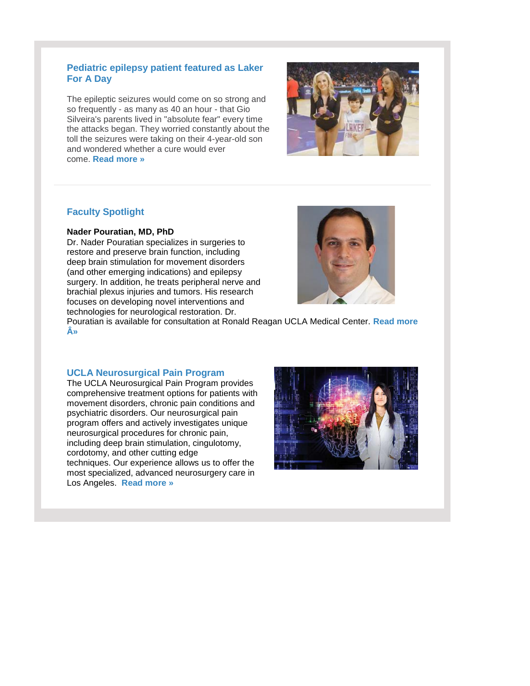#### **Pediatric epilepsy patient featured as Laker For A Day**

The epileptic seizures would come on so strong and so frequently - as many as 40 an hour - that Gio Silveira's parents lived in "absolute fear" every time the attacks began. They worried constantly about the toll the seizures were taking on their 4-year-old son and wondered whether a cure would ever come. **[Read more »](http://r20.rs6.net/tn.jsp?f=001oVw_lU6_4BZE117noxe80BltNaJywJspitIG3RtpHPsU01vqCBDVCepojkzlKOqnfzpdyZB9sq5_ggVmoHb7li0D7-cU5K8jw9zmPSjmx3oF4yA68G_PgH7nUWt7JbEcuD-Z0EWacGapWlDYtmptWxS8SH5OSWNXWjCokWQKOuSQfBjvH8tn5S62t8nAYPJhEQhjaFKkP7k=&c=fL8iGqwf2NSLtcX_cDsIv_oP592ZBjz7g8z4CkbX8nOZki_5dsuxAg==&ch=rYxF44NPqrDZxtJLhcIiCDwSlltVm8l7qOfxDPrbm5epp3DkcMeK0g==)**



### **Faculty Spotlight**

#### **Nader Pouratian, MD, PhD**

Dr. Nader Pouratian specializes in surgeries to restore and preserve brain function, including deep brain stimulation for movement disorders (and other emerging indications) and epilepsy surgery. In addition, he treats peripheral nerve and brachial plexus injuries and tumors. His research focuses on developing novel interventions and technologies for neurological restoration. Dr.



Pouratian is available for consultation at Ronald Reagan UCLA Medical Center. **[Read more](http://r20.rs6.net/tn.jsp?f=001oVw_lU6_4BZE117noxe80BltNaJywJspitIG3RtpHPsU01vqCBDVCboiBqhHHVt_HCHq97_QZn2b6fald2Wt2ElOsCMNYqyV92xGbnGaMP7taSWhBKLSqzVgjUEhiVGHTS6RwsgHAxergTJuJ4oq6AF6HSxNUrbs7jStn0kWwxQk3pCbSb6N-irt5Xv_PyplGnD7xCWViNg=&c=fL8iGqwf2NSLtcX_cDsIv_oP592ZBjz7g8z4CkbX8nOZki_5dsuxAg==&ch=rYxF44NPqrDZxtJLhcIiCDwSlltVm8l7qOfxDPrbm5epp3DkcMeK0g==)  [»](http://r20.rs6.net/tn.jsp?f=001oVw_lU6_4BZE117noxe80BltNaJywJspitIG3RtpHPsU01vqCBDVCboiBqhHHVt_HCHq97_QZn2b6fald2Wt2ElOsCMNYqyV92xGbnGaMP7taSWhBKLSqzVgjUEhiVGHTS6RwsgHAxergTJuJ4oq6AF6HSxNUrbs7jStn0kWwxQk3pCbSb6N-irt5Xv_PyplGnD7xCWViNg=&c=fL8iGqwf2NSLtcX_cDsIv_oP592ZBjz7g8z4CkbX8nOZki_5dsuxAg==&ch=rYxF44NPqrDZxtJLhcIiCDwSlltVm8l7qOfxDPrbm5epp3DkcMeK0g==)**

#### **UCLA Neurosurgical Pain Program**

The UCLA Neurosurgical Pain Program provides comprehensive treatment options for patients with movement disorders, chronic pain conditions and psychiatric disorders. Our neurosurgical pain program offers and actively investigates unique neurosurgical procedures for chronic pain, including deep brain stimulation, cingulotomy, cordotomy, and other cutting edge techniques. Our experience allows us to offer the most specialized, advanced neurosurgery care in Los Angeles. **[Read more »](http://r20.rs6.net/tn.jsp?f=001oVw_lU6_4BZE117noxe80BltNaJywJspitIG3RtpHPsU01vqCBDVCepojkzlKOqn7YBA0zyeHVWBqO0srBHPVZcrNDo05njr8GSebu2SzMp4fwQNT4EIjV3CN9UEykooKMLYXPbEWCvZjkJCWl9NevJ3y9GLJ19mp8UOSSAKBwTyBC9PKNSX2N3ZLh5QOzZeoJ44uMUEX3o=&c=fL8iGqwf2NSLtcX_cDsIv_oP592ZBjz7g8z4CkbX8nOZki_5dsuxAg==&ch=rYxF44NPqrDZxtJLhcIiCDwSlltVm8l7qOfxDPrbm5epp3DkcMeK0g==)**